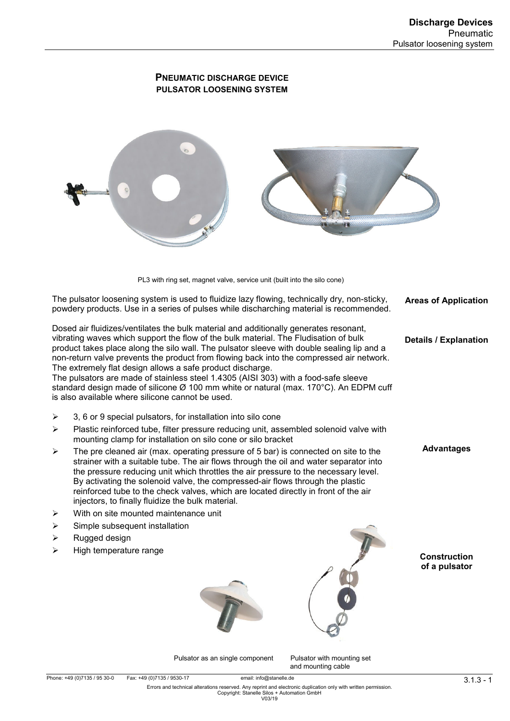# **PNEUMATIC DISCHARGE DEVICE PULSATOR LOOSENING SYSTEM**



PL3 with ring set, magnet valve, service unit (built into the silo cone)

The pulsator loosening system is used to fluidize lazy flowing, technically dry, non-sticky, powdery products. Use in a series of pulses while discharching material is recommended.

Dosed air fluidizes/ventilates the bulk material and additionally generates resonant, vibrating waves which support the flow of the bulk material. The Fludisation of bulk product takes place along the silo wall. The pulsator sleeve with double sealing lip and a non-return valve prevents the product from flowing back into the compressed air network. The extremely flat design allows a safe product discharge.

The pulsators are made of stainless steel 1.4305 (AISI 303) with a food-safe sleeve standard design made of silicone Ø 100 mm white or natural (max. 170°C). An EDPM cuff is also available where silicone cannot be used.

- $\geq$  3, 6 or 9 special pulsators, for installation into silo cone
- $\triangleright$  Plastic reinforced tube, filter pressure reducing unit, assembled solenoid valve with mounting clamp for installation on silo cone or silo bracket
- $\triangleright$  The pre cleaned air (max. operating pressure of 5 bar) is connected on site to the strainer with a suitable tube. The air flows through the oil and water separator into the pressure reducing unit which throttles the air pressure to the necessary level. By activating the solenoid valve, the compressed-air flows through the plastic reinforced tube to the check valves, which are located directly in front of the air injectors, to finally fluidize the bulk material.
- $\triangleright$  With on site mounted maintenance unit
- $\triangleright$  Simple subsequent installation
- $\triangleright$  Rugged design
- High temperature range





**Areas of Application** 

**Details / Explanation** 

**Advantages** 

#### **Construction of a pulsator**

Pulsator as an single component Pulsator with mounting set and mounting cable

1 - 1.1.3 - 1.1.3 - 1.3. Fax: +49 (0)7135 / 9530-17 email: info@stanelle.de<br>But and technical alterations reserved. Any reprint and electronic duplication only with written permission. Copyright: Stanelle Silos + Automation GmbH V03/19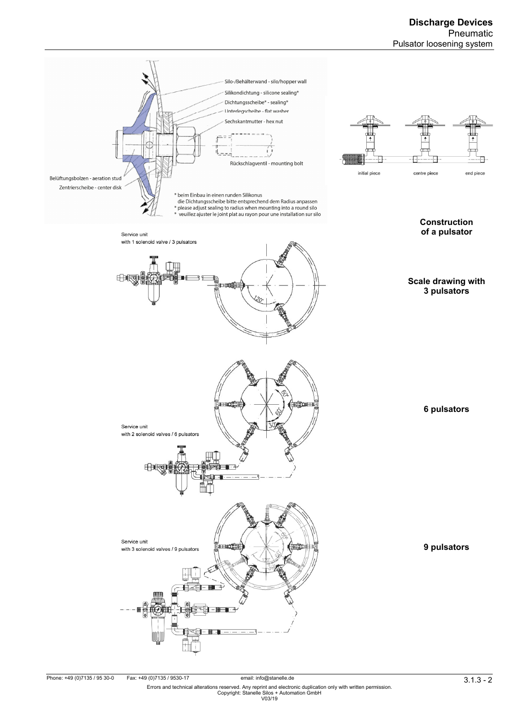

email: info@stanelle.de و 11.3 offer the principle of the email: info@stanelle.de (971135 / 9530-0 Fax: +49 (<br>Errors and technical alterations reserved. Any reprint and electronic duplication only with written permission.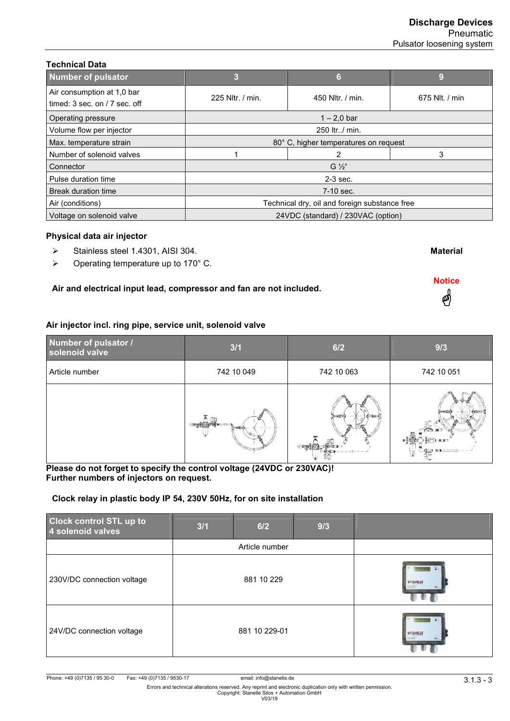**Material**

**Notice**  4

| Number of pulsator                                             | з                                             | 6                | 9              |
|----------------------------------------------------------------|-----------------------------------------------|------------------|----------------|
| Air consumption at 1,0 bar<br>timed: $3$ sec. on $/7$ sec. off | 225 Nltr. / min.                              | 450 Nitr. / min. | 675 Nlt. / min |
| Operating pressure                                             | $1 - 2.0$ bar                                 |                  |                |
| Volume flow per injector                                       | 250 ltr/ min.                                 |                  |                |
| Max. temperature strain                                        | 80° C, higher temperatures on request         |                  |                |
| Number of solenoid valves                                      |                                               | 2                | 3              |
| Connector                                                      | $G''_2$                                       |                  |                |
| Pulse duration time                                            | $2-3$ sec.                                    |                  |                |
| Break duration time                                            | 7-10 sec.                                     |                  |                |
| Air (conditions)                                               | Technical dry, oil and foreign substance free |                  |                |
| Voltage on solenoid valve                                      | 24VDC (standard) / 230VAC (option)            |                  |                |
|                                                                |                                               |                  |                |

# **Physical data air injector**

**Technical Data** 

- $\triangleright$  Stainless steel 1.4301, AISI 304.
- $\triangleright$  Operating temperature up to 170 $^{\circ}$  C.

# **Air and electrical input lead, compressor and fan are not included.**

### **Air injector incl. ring pipe, service unit, solenoid valve**

| Number of pulsator /<br>solenoid valve | 3/1        | 6/2                                   | 9/3                                                                                                                                                                                                                                                                   |
|----------------------------------------|------------|---------------------------------------|-----------------------------------------------------------------------------------------------------------------------------------------------------------------------------------------------------------------------------------------------------------------------|
| Article number                         | 742 10 049 | 742 10 063                            | 742 10 051                                                                                                                                                                                                                                                            |
|                                        | $T = 100$  | $+0.00737$<br><b>FRIDA F</b><br>----- | ×<br>ו בדו<br><b>BUT</b><br><b>In the case of the contract of the contract of the contract of the contract of the contract of the contract of the contract of the contract of the contract of the contract of the contract of the contract of the contract o</b><br>走 |

### **Please do not forget to specify the control voltage (24VDC or 230VAC)! Further numbers of injectors on request.**

# **Clock relay in plastic body IP 54, 230V 50Hz, for on site installation**

| <b>Clock control STL up to</b><br>4 solenoid valves | 3/1 | 6/2            | 9/3 |                                                            |
|-----------------------------------------------------|-----|----------------|-----|------------------------------------------------------------|
|                                                     |     | Article number |     |                                                            |
| 230V/DC connection voltage                          |     | 881 10 229     |     | <b>WSTANELLE</b><br><b>CONTRACT</b>                        |
| 24V/DC connection voltage                           |     | 881 10 229-01  |     | <b>WSTANELLE</b><br><b>CARTISTICS</b><br><b>CONTRACTOR</b> |

91.3 . 1 . 1 .3 . 1 .3 . Phone: +49 (0)7135 / 95 30-0 Fax: +49 (0)7135 / 9530-17<br>Errors and technical alterations reserved. Any reprint and electronic duplication only with written permission.<br>V03/19 With Witten permissio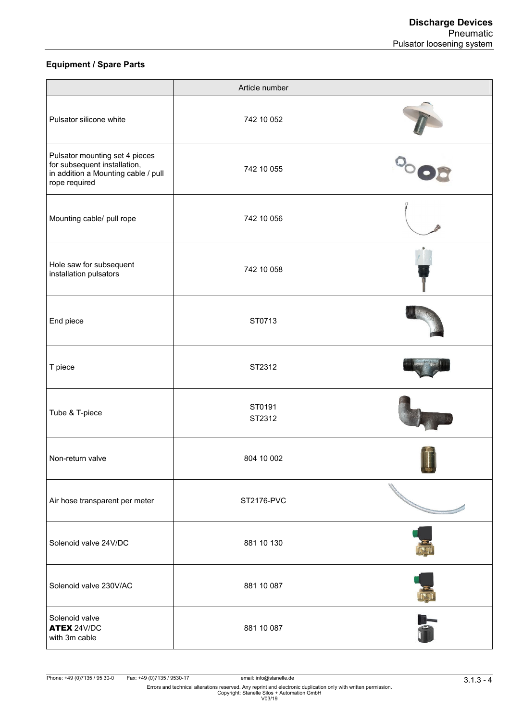# **Equipment / Spare Parts**

|                                                                                                                        | Article number   |           |
|------------------------------------------------------------------------------------------------------------------------|------------------|-----------|
| Pulsator silicone white                                                                                                | 742 10 052       |           |
| Pulsator mounting set 4 pieces<br>for subsequent installation,<br>in addition a Mounting cable / pull<br>rope required | 742 10 055       |           |
| Mounting cable/ pull rope                                                                                              | 742 10 056       |           |
| Hole saw for subsequent<br>installation pulsators                                                                      | 742 10 058       |           |
| End piece                                                                                                              | ST0713           |           |
| T piece                                                                                                                | ST2312           |           |
| Tube & T-piece                                                                                                         | ST0191<br>ST2312 |           |
| Non-return valve                                                                                                       | 804 10 002       |           |
| Air hose transparent per meter                                                                                         | ST2176-PVC       |           |
| Solenoid valve 24V/DC                                                                                                  | 881 10 130       |           |
| Solenoid valve 230V/AC                                                                                                 | 881 10 087       |           |
| Solenoid valve<br><b>ATEX 24V/DC</b><br>with 3m cable                                                                  | 881 10 087       | <b>ST</b> |